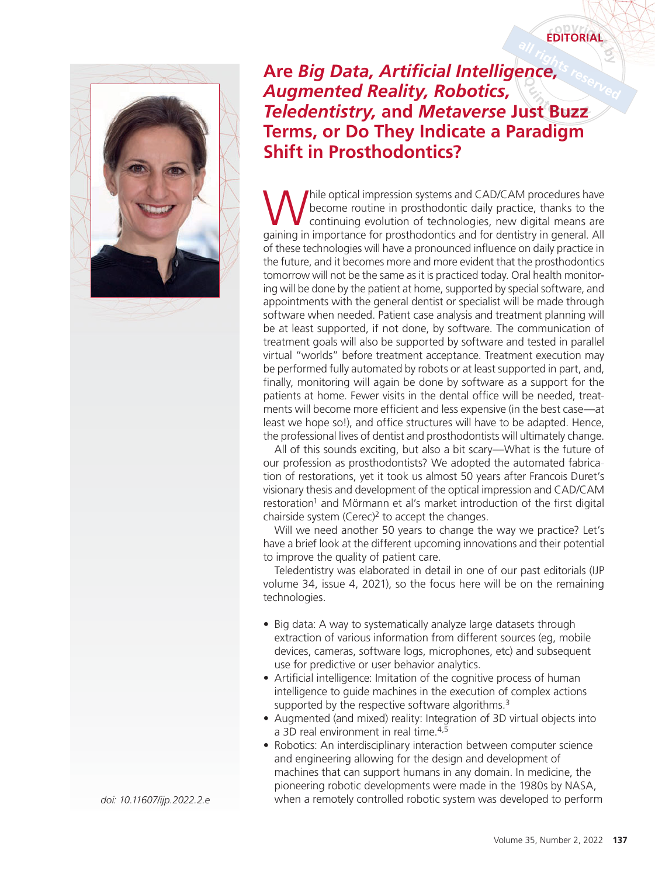## **EDITORIAL**



## **Are** *Big Data, Artificial Intelligence, Augmented Reality, Robotics, Teledentistry,* **and** *Metaverse* **Just Buzz Terms, or Do They Indicate a Paradigm Shift in Prosthodontics?**

While optical impression systems and CAD/CAM procedures have<br>
continuing evolution of technologies, new digital means are<br>
caping in importance for precibed<br>
only and for dentity in general All become routine in prosthodontic daily practice, thanks to the continuing evolution of technologies, new digital means are gaining in importance for prosthodontics and for dentistry in general. All of these technologies will have a pronounced influence on daily practice in the future, and it becomes more and more evident that the prosthodontics tomorrow will not be the same as it is practiced today. Oral health monitoring will be done by the patient at home, supported by special software, and appointments with the general dentist or specialist will be made through software when needed. Patient case analysis and treatment planning will be at least supported, if not done, by software. The communication of treatment goals will also be supported by software and tested in parallel virtual "worlds" before treatment acceptance. Treatment execution may be performed fully automated by robots or at least supported in part, and, finally, monitoring will again be done by software as a support for the patients at home. Fewer visits in the dental office will be needed, treatments will become more efficient and less expensive (in the best case—at least we hope so!), and office structures will have to be adapted. Hence, the professional lives of dentist and prosthodontists will ultimately change.

All of this sounds exciting, but also a bit scary—What is the future of our profession as prosthodontists? We adopted the automated fabrication of restorations, yet it took us almost 50 years after Francois Duret's visionary thesis and development of the optical impression and CAD/CAM restoration<sup>1</sup> and Mörmann et al's market introduction of the first digital chairside system (Cerec) $2$  to accept the changes.

Will we need another 50 years to change the way we practice? Let's have a brief look at the different upcoming innovations and their potential to improve the quality of patient care.

Teledentistry was elaborated in detail in one of our past editorials (IJP volume 34, issue 4, 2021), so the focus here will be on the remaining technologies.

- Big data: A way to systematically analyze large datasets through extraction of various information from different sources (eg, mobile devices, cameras, software logs, microphones, etc) and subsequent use for predictive or user behavior analytics.
- Artificial intelligence: Imitation of the cognitive process of human intelligence to guide machines in the execution of complex actions supported by the respective software algorithms. $3$
- Augmented (and mixed) reality: Integration of 3D virtual objects into a 3D real environment in real time.<sup>4,5</sup>
- Robotics: An interdisciplinary interaction between computer science and engineering allowing for the design and development of machines that can support humans in any domain. In medicine, the pioneering robotic developments were made in the 1980s by NASA, *doi: 10.11607/ijp.2022.2.e* when a remotely controlled robotic system was developed to perform